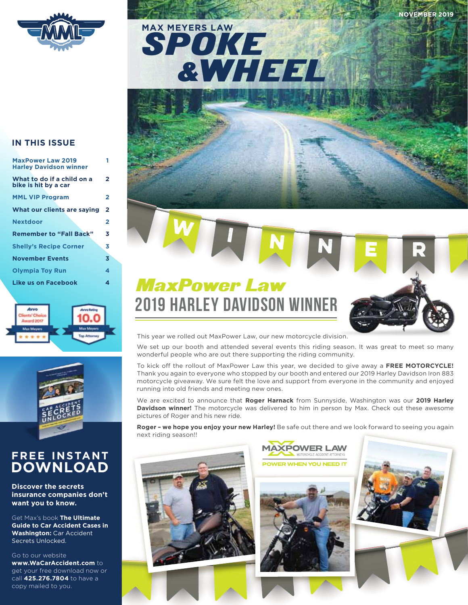





| <b>MaxPower Law 2019</b><br><b>Harley Davidson winner</b> |                |
|-----------------------------------------------------------|----------------|
| What to do if a child on a<br>bike is hit by a car        | 2              |
| <b>MML VIP Program</b>                                    | 2              |
| What our clients are saying                               | $\overline{2}$ |
| <b>Nextdoor</b>                                           | 2              |
| <b>Remember to "Fall Back"</b>                            | 3              |
| <b>Shelly's Recipe Corner</b>                             | 3              |
| <b>November Events</b>                                    | 3              |
| <b>Olympia Toy Run</b>                                    | 4              |
| Like us on Facebook                                       | 4              |
|                                                           |                |





### **FREE INSTANT DOWNLOAD**

**Discover the secrets insurance companies don't want you to know.** 

Get Max's book **The Ultimate Guide to Car Accident Cases in Washington:** Car Accident Secrets Unlocked.

Go to our website

**www.WaCarAccident.com** to get your free download now or call **425.276.7804** to have a copy mailed to you.

## MaxPower Law 2019 HARLEY DAVIDSON WINNER



We set up our booth and attended several events this riding season. It was great to meet so many wonderful people who are out there supporting the riding community.

**W I I I N I N E R** 

To kick off the rollout of MaxPower Law this year, we decided to give away a FREE MOTORCYCLE! Thank you again to everyone who stopped by our booth and entered our 2019 Harley Davidson Iron 883 motorcycle giveaway. We sure felt the love and support from everyone in the community and enjoyed running into old friends and meeting new ones.

We are excited to announce that **Roger Harnack** from Sunnyside, Washington was our **2019 Harley Davidson winner!** The motorcycle was delivered to him in person by Max. Check out these awesome pictures of Roger and his new ride.

**Roger – we hope you enjoy your new Harley!** Be safe out there and we look forward to seeing you again next riding season!!

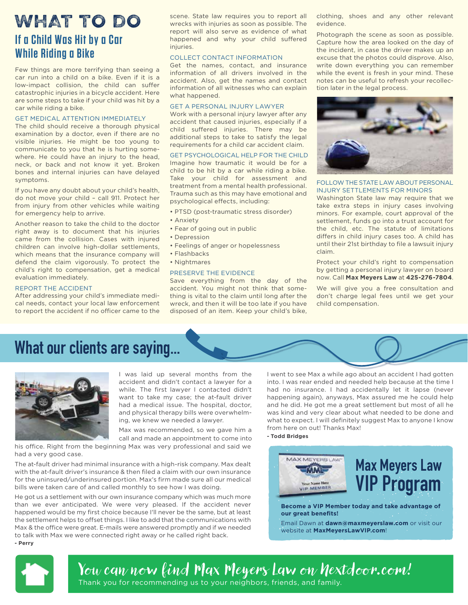# **If a Child Was Hit by a Car While Riding a Bike**

Few things are more terrifying than seeing a car run into a child on a bike. Even if it is a low-impact collision, the child can suffer catastrophic injuries in a bicycle accident. Here are some steps to take if your child was hit by a car while riding a bike.

#### GET MEDICAL ATTENTION IMMEDIATELY

The child should receive a thorough physical examination by a doctor, even if there are no visible injuries. He might be too young to communicate to you that he is hurting somewhere. He could have an injury to the head, neck, or back and not know it yet. Broken bones and internal injuries can have delayed symptoms.

If you have any doubt about your child's health, do not move your child – call 911. Protect her from injury from other vehicles while waiting for emergency help to arrive.

Another reason to take the child to the doctor right away is to document that his injuries came from the collision. Cases with injured children can involve high-dollar settlements, which means that the insurance company will defend the claim vigorously. To protect the child's right to compensation, get a medical evaluation immediately.

#### REPORT THE ACCIDENT

After addressing your child's immediate medical needs, contact your local law enforcement to report the accident if no officer came to the scene. State law requires you to report all wrecks with injuries as soon as possible. The report will also serve as evidence of what happened and why your child suffered injuries.

#### COLLECT CONTACT INFORMATION

Get the names, contact, and insurance information of all drivers involved in the accident. Also, get the names and contact information of all witnesses who can explain what happened.

#### GET A PERSONAL INJURY LAWYER

Work with a personal injury lawyer after any accident that caused injuries, especially if a child suffered injuries. There may be additional steps to take to satisfy the legal requirements for a child car accident claim.

#### GET PSYCHOLOGICAL HELP FOR THE CHILD

Imagine how traumatic it would be for a child to be hit by a car while riding a bike. Take your child for assessment and treatment from a mental health professional. Trauma such as this may have emotional and psychological effects, including:

- PTSD (post-traumatic stress disorder)
- Anxiety
- Fear of going out in public
- Depression
- Feelings of anger or hopelessness
- Flashbacks
- Nightmares

#### PRESERVE THE EVIDENCE

Save everything from the day of the accident. You might not think that something is vital to the claim until long after the wreck, and then it will be too late if you have disposed of an item. Keep your child's bike,

WHAT TO DO scene. State law requires you to report all clothing, shoes and any other relevant evidence.

> Photograph the scene as soon as possible. Capture how the area looked on the day of the incident, in case the driver makes up an excuse that the photos could disprove. Also, write down everything you can remember while the event is fresh in your mind. These notes can be useful to refresh your recollection later in the legal process.



FOLLOW THE STATE LAW ABOUT PERSONAL INJURY SETTLEMENTS FOR MINORS

Washington State law may require that we take extra steps in injury cases involving minors. For example, court approval of the settlement, funds go into a trust account for the child, etc. The statute of limitations differs in child injury cases too. A child has until their 21st birthday to file a lawsuit injury claim.

Protect your child's right to compensation by getting a personal injury lawyer on board now. Call **Max Meyers Law** at **425-276-7804**.

We will give you a free consultation and don't charge legal fees until we get your child compensation.

### **What our clients are saying...**



I was laid up several months from the accident and didn't contact a lawyer for a while. The first lawyer I contacted didn't want to take my case; the at-fault driver had a medical issue. The hospital, doctor, and physical therapy bills were overwhelming, we knew we needed a lawyer.

Max was recommended, so we gave him a call and made an appointment to come into

his office. Right from the beginning Max was very professional and said we had a very good case.

The at-fault driver had minimal insurance with a high-risk company. Max dealt with the at-fault driver's insurance & then filed a claim with our own insurance for the uninsured/underinsured portion. Max's firm made sure all our medical bills were taken care of and called monthly to see how I was doing.

He got us a settlement with our own insurance company which was much more than we ever anticipated. We were very pleased. If the accident never happened would be my first choice because I'll never be the same, but at least the settlement helps to offset things. I like to add that the communications with Max & the office were great. E-mails were answered promptly and if we needed to talk with Max we were connected right away or he called right back. **- Perry**

I went to see Max a while ago about an accident I had gotten into. I was rear ended and needed help because at the time I had no insurance. I had accidentally let it lapse (never happening again), anyways, Max assured me he could help and he did. He got me a great settlement but most of all he was kind and very clear about what needed to be done and what to expect. I will definitely suggest Max to anyone I know from here on out! Thanks Max!

**- Todd Bridges**



**Become a VIP Member today and take advantage of our great benefits!**

Email Dawn at **dawn@maxmeyerslaw.com** or visit our website at **MaxMeyersLawVIP.com**!



<u>You can now find Max Meyers Law on Nextdoor.com!</u> Thank you for recommending us to your neighbors, friends, and family.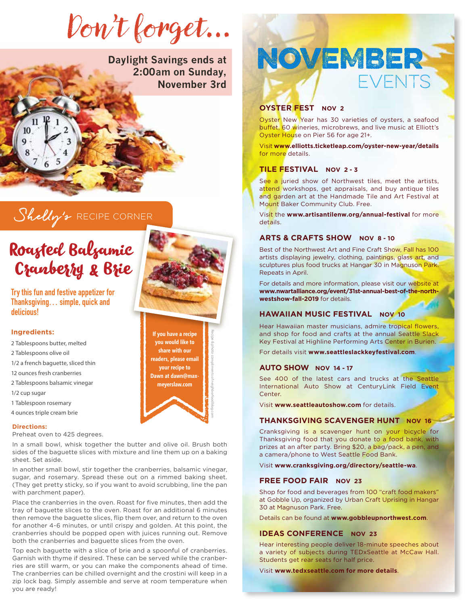Don't forget…

**Daylight Savings ends at** ght Savings ends at **NOVEMBER November 3rd**

### Shelly's RECIPE CORNER

### Roasted Balsamic Cranberry & Brie

**Try this fun and festive appetizer for Thanksgiving… simple, quick and delicious!**

5 6

#### **Ingredients:**

 $10<sub>1</sub>$ 

- 2 Tablespoons butter, melted
- 2 Tablespoons olive oil
- 1/2 a french baguette, sliced thin
- 12 ounces fresh cranberries
- 2 Tablespoons balsamic vinegar
- 1/2 cup sugar
- 1 Tablespoon rosemary
- 4 ounces triple cream brie

#### **Directions:**

Preheat oven to 425 degrees.

In a small bowl, whisk together the butter and olive oil. Brush both sides of the baguette slices with mixture and line them up on a baking sheet. Set aside.

In another small bowl, stir together the cranberries, balsamic vinegar, sugar, and rosemary. Spread these out on a rimmed baking sheet. (They get pretty sticky, so if you want to avoid scrubbing, line the pan with parchment paper).

Place the cranberries in the oven. Roast for five minutes, then add the tray of baguette slices to the oven. Roast for an additional 6 minutes then remove the baguette slices, flip them over, and return to the oven for another 4-6 minutes, or until crispy and golden. At this point, the cranberries should be popped open with juices running out. Remove both the cranberries and baguette slices from the oven.

Top each baguette with a slice of brie and a spoonful of cranberries. Garnish with thyme if desired. These can be served while the cranberries are still warm, or you can make the components ahead of time. The cranberries can be chilled overnight and the crostini will keep in a zip lock bag. Simply assemble and serve at room temperature when you are ready!

#### **OYSTER FEST NOV 2**

Oyster New Year has 30 varieties of oysters, a seafood buffet, 60 wineries, microbrews, and live music at Elliott's Oyster House on Pier 56 for age 21+.

**EVENTS** 

Visit **www.elliotts.ticketleap.com/oyster-new-year/details** for more details.

#### **TILE FESTIVAL NOV 2 - 3**

See a juried show of Northwest tiles, meet the artists, attend workshops, get appraisals, and buy antique tiles and garden art at the Handmade Tile and Art Festival at Mount Baker Community Club. Free.

Visit the **www.artisantilenw.org/annual-festival** for more details.

#### **ARTS & CRAFTS SHOW NOV 8 - 10**

Best of the Northwest Art and Fine Craft Show, Fall has 100 artists displaying jewelry, clothing, paintings, glass art, and sculptures plus food trucks at Hangar 30 in Magnuson Park. Repeats in April.

For details and more information, please visit our website at **www.nwartalliance.org/event/31st-annual-best-of-the-northwestshow-fall-2019** for details.

#### **HAWAIIAN MUSIC FESTIVAL NOV 10**

Hear Hawaiian master musicians, admire tropical flowers, and shop for food and crafts at the annual Seattle Slack Key Festival at Highline Performing Arts Center in Burien.

For details visit **www.seattleslackkeyfestival.com**.

#### **AUTO SHOW NOV 14 - 17**

See 400 of the latest cars and trucks at the Seattle International Auto Show at CenturyLink Field Event Center.

Visit **www.seattleautoshow.com** for details.

#### **THANKSGIVING SCAVENGER HUNT NOV 16**

Cranksgiving is a scavenger hunt on your bicycle for Thanksgiving food that you donate to a food bank, with prizes at an after party. Bring \$20, a bag/pack, a pen, and a camera/phone to West Seattle Food Bank.

Visit **www.cranksgiving.org/directory/seattle-wa**.

#### **FREE FOOD FAIR NOV 23**

Shop for food and beverages from 100 "craft food makers" at Gobble Up, organized by Urban Craft Uprising in Hangar 30 at Magnuson Park. Free.

Details can be found at **www.gobbleupnorthwest.com**.

#### **IDEAS CONFERENCE NOV 23**

Hear interesting people deliver 18-minute speeches about a variety of subjects during TEDxSeattle at McCaw Hall. Students get rear seats for half price.

Visit **www.tedxseattle.com for more details**.



**If you have a recipe you would like to share with our readers, please email your recipe to Dawn at dawn@maxmeyerslaw.com**

Recipe & photo compliments of neighborfoodblog.com